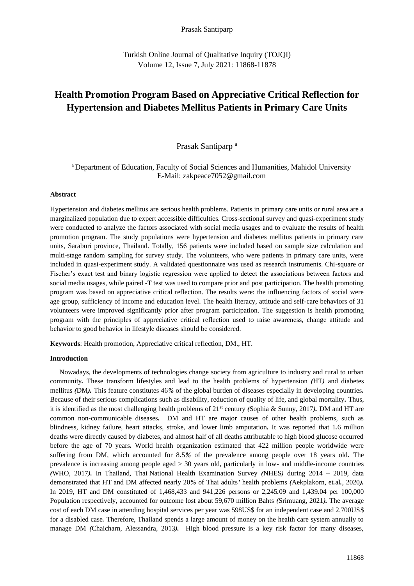## Prasak Santiparp

Turkish Online Journal of Qualitative Inquiry (TOJQI) Volume 12, Issue 7, July 2021: 11868-11878

# **Health Promotion Program Based on Appreciative Critical Reflection for Hypertension and Diabetes Mellitus Patients in Primary Care Units**

# Prasak Santiparp<sup>a</sup>

# <sup>a</sup> Department of Education, Faculty of Social Sciences and Humanities, Mahidol University E-Mail: zakpeace7052@gmail.com

## **Abstract**

Hypertension and diabetes mellitus are serious health problems. Patients in primary care units or rural area are a marginalized population due to expert accessible difficulties. Cross-sectional survey and quasi-experiment study were conducted to analyze the factors associated with social media usages and to evaluate the results of health promotion program. The study populations were hypertension and diabetes mellitus patients in primary care units, Saraburi province, Thailand. Totally, 156 patients were included based on sample size calculation and multi-stage random sampling for survey study. The volunteers, who were patients in primary care units, were included in quasi-experiment study. A validated questionnaire was used as research instruments. Chi-square or Fischer's exact test and binary logistic regression were applied to detect the associations between factors and social media usages, while paired -T test was used to compare prior and post participation. The health promoting program was based on appreciative critical reflection. The results were: the influencing factors of social were age group, sufficiency of income and education level. The health literacy, attitude and self-care behaviors of 31 volunteers were improved significantly prior after program participation. The suggestion is health promoting program with the principles of appreciative critical reflection used to raise awareness, change attitude and behavior to good behavior in lifestyle diseases should be considered.

**Keywords**: Health promotion, Appreciative critical reflection, DM., HT.

## **Introduction**

Nowadays, the developments of technologies change society from agriculture to industry and rural to urban community*.* These transform lifestyles and lead to the health problems of hypertension *(*HT*)* and diabetes mellitus *(*DM*).* This feature constitutes 46*%* of the global burden of diseases especially in developing countries*.*  Because of their serious complications such as disability, reduction of quality of life, and global mortality*.* Thus, it is identified as the most challenging health problems of 21st century *(*Sophia & Sunny, 2017*).* DM and HT are common non*-*communicable diseases*.* DM and HT are major causes of other health problems, such as blindness, kidney failure, heart attacks, stroke, and lower limb amputation*.* It was reported that 1*.*6 million deaths were directly caused by diabetes, and almost half of all deaths attributable to high blood glucose occurred before the age of 70 years*.* World health organization estimated that 422 million people worldwide were suffering from DM, which accounted for 8*.*5*%* of the prevalence among people over 18 years old*.* The prevalence is increasing among people aged > 30 years old, particularly in low*-* and middle*-*income countries *(*WHO, 2017*).* In Thailand, Thai National Health Examination Survey *(*NHES*)* during 2014 *–* 2019, data demonstrated that HT and DM affected nearly 20*%* of Thai adults*'* health problems *(*Aekplakorn, et*.*al*.*, 2020*).*  In 2019, HT and DM constituted of 1,468,433 and 941,226 persons or 2,245*.*09 and 1,439*.*04 per 100,000 Population respectively, accounted for outcome lost about 59,670 million Bahts *(*Srimuang, 2021*).* The average cost of each DM case in attending hospital services per year was 598US\$ for an independent case and 2,700US\$ for a disabled case*.* Therefore, Thailand spends a large amount of money on the health care system annually to manage DM *(*Chaicharn, Alessandra, 2013*).* High blood pressure is a key risk factor for many diseases,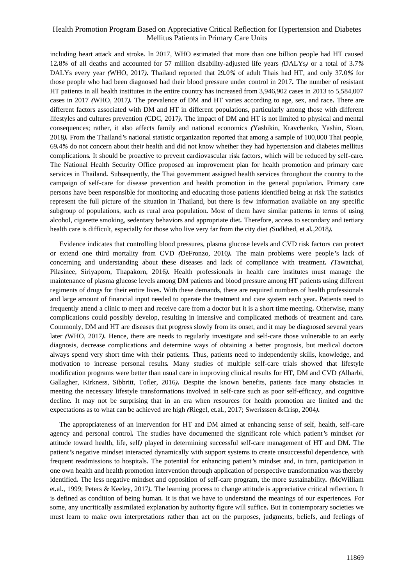including heart attack and stroke*.* In 2017, WHO estimated that more than one billion people had HT caused 12*.*8*%* of all deaths and accounted for 57 million disability*-*adjusted life years *(*DALYs*)* or a total of 3*.*7*%*  DALYs every year *(*WHO, 2017*).* Thailand reported that 29*.*0*%* of adult Thais had HT, and only 37*.*0*%* for those people who had been diagnosed had their blood pressure under control in 2017*.* The number of resistant HT patients in all health institutes in the entire country has increased from 3,946,902 cases in 2013 to 5,584,007 cases in 2017 *(*WHO, 2017*).* The prevalence of DM and HT varies according to age, sex, and race*.* There are different factors associated with DM and HT in different populations, particularly among those with different lifestyles and cultures prevention *(*CDC, 2017*).* The impact of DM and HT is not limited to physical and mental consequences; rather, it also affects family and national economics *(*Yashikin, Kravchenko, Yashin, Sloan, 2018*).* From the Thailand*'*s national statistic organization reported that among a sample of 100,000 Thai people, 69*.*4*%* do not concern about their health and did not know whether they had hypertension and diabetes mellitus complications*.* It should be proactive to prevent cardiovascular risk factors, which will be reduced by self*-*care*.*  The National Health Security Office proposed an improvement plan for health promotion and primary care services in Thailand*.* Subsequently, the Thai government assigned health services throughout the country to the campaign of self*-*care for disease prevention and health promotion in the general population*.* Primary care persons have been responsible for monitoring and educating those patients identified being at risk The statistics represent the full picture of the situation in Thailand, but there is few information available on any specific subgroup of populations, such as rural area population*.* Most of them have similar patterns in terms of using alcohol, cigarette smoking, sedentary behaviors and appropriate diet*.* Therefore, access to secondary and tertiary health care is difficult, especially for those who live very far from the city diet *(*Sudkhed, et al*.*,2018*).* 

Evidence indicates that controlling blood pressures, plasma glucose levels and CVD risk factors can protect or extend one third mortality from CVD *(*DeFronzo, 2010*).* The main problems were people*'*s lack of concerning and understanding about these diseases and lack of compliance with treatment*. (*Tawatchai, Pilasinee, Siriyaporn, Thapakorn, 2016*).* Health professionals in health care institutes must manage the maintenance of plasma glucose levels among DM patients and blood pressure among HT patients using different regiments of drugs for their entire lives*.* With these demands, there are required numbers of health professionals and large amount of financial input needed to operate the treatment and care system each year*.* Patients need to frequently attend a clinic to meet and receive care from a doctor but it is a short time meeting*.* Otherwise, many complications could possibly develop, resulting in intensive and complicated methods of treatment and care*.*  Commonly, DM and HT are diseases that progress slowly from its onset, and it may be diagnosed several years later *(*WHO, 2017*).* Hence, there are needs to regularly investigate and self*-*care those vulnerable to an early diagnosis, decrease complications and determine ways of obtaining a better prognosis, but medical doctors always spend very short time with their patients*.* Thus, patients need to independently skills, knowledge, and motivation to increase personal results*.* Many studies of multiple self*-*care trials showed that lifestyle modification programs were better than usual care in improving clinical results for HT, DM and CVD *(*Alharbi, Gallagher, Kirkness, Sibbritt, Tofler, 2016*).* Despite the known benefits, patients face many obstacles in meeting the necessary lifestyle transformations involved in self*-*care such as poor self*-*efficacy, and cognitive decline*.* It may not be surprising that in an era when resources for health promotion are limited and the expectations as to what can be achieved are high *(*Riegel, et*.*al*.*, 2017; Swerisssen &Crisp, 2004*).* 

The appropriateness of an intervention for HT and DM aimed at enhancing sense of self, health, self*-*care agency and personal control*.* The studies have documented the significant role which patient*'*s mindset *(*or attitude toward health, life, self*)* played in determining successful self*-*care management of HT and DM*.* The patient*'*s negative mindset interacted dynamically with support systems to create unsuccessful dependence, with frequent readmissions to hospitals*.* The potential for enhancing patient*'*s mindset and, in turn, participation in one own health and health promotion intervention through application of perspective transformation was thereby identified*.* The less negative mindset and opposition of self*-*care program, the more sustainability*. (*McWilliam et*.*al*.*, 1999; Peters & Keeley, 2017*).* The learning process to change attitude is appreciative critical reflection*.* It is defined as condition of being human*.* It is that we have to understand the meanings of our experiences*.* For some, any uncritically assimilated explanation by authority figure will suffice*.* But in contemporary societies we must learn to make own interpretations rather than act on the purposes, judgments, beliefs, and feelings of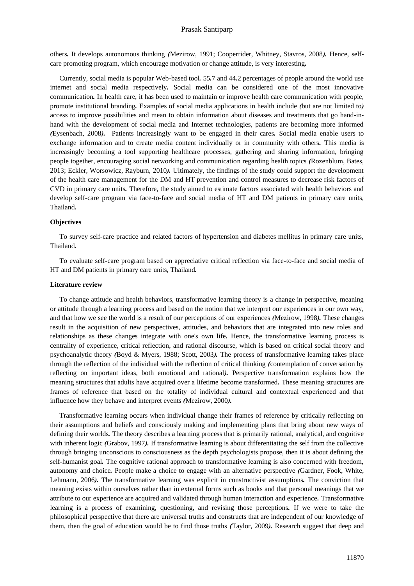others*.* It develops autonomous thinking *(*Mezirow, 1991; Cooperrider, Whitney, Stavros, 2008*).* Hence, selfcare promoting program, which encourage motivation or change attitude, is very interesting*.* 

Currently, social media is popular Web*-*based tool*.* 55*.*7 and 44*.*2 percentages of people around the world use internet and social media respectively*.* Social media can be considered one of the most innovative communication*.* In health care, it has been used to maintain or improve health care communication with people, promote institutional branding*.* Examples of social media applications in health include *(*but are not limited to*)*  access to improve possibilities and mean to obtain information about diseases and treatments that go hand*-*inhand with the development of social media and Internet technologies, patients are becoming more informed *(*Eysenbach, 2008*).* Patients increasingly want to be engaged in their cares*.* Social media enable users to exchange information and to create media content individually or in community with others*.* This media is increasingly becoming a tool supporting healthcare processes, gathering and sharing information, bringing people together, encouraging social networking and communication regarding health topics *(*Rozenblum, Bates, 2013; Eckler, Worsowicz, Rayburn, 2010*).* Ultimately, the findings of the study could support the development of the health care management for the DM and HT prevention and control measures to decrease risk factors of CVD in primary care units*.* Therefore, the study aimed to estimate factors associated with health behaviors and develop self*-*care program via face*-*to*-*face and social media of HT and DM patients in primary care units, Thailand*.*

#### **Objectives**

To survey self*-*care practice and related factors of hypertension and diabetes mellitus in primary care units, Thailand*.*

To evaluate self*-*care program based on appreciative critical reflection via face*-*to*-*face and social media of HT and DM patients in primary care units, Thailand*.*

### **Literature review**

To change attitude and health behaviors, transformative learning theory is a change in perspective, meaning or attitude through a learning process and based on the notion that we interpret our experiences in our own way, and that how we see the world is a result of our perceptions of our experiences *(*Mezirow, 1998*).* These changes result in the acquisition of new perspectives, attitudes, and behaviors that are integrated into new roles and relationships as these changes integrate with one's own life*.* Hence, the transformative learning process is centrality of experience, critical reflection, and rational discourse, which is based on critical social theory and psychoanalytic theory *(*Boyd & Myers, 1988; Scott, 2003*).* The process of transformative learning takes place through the reflection of the individual with the reflection of critical thinking *(*contemplation of conversation by reflecting on important ideas, both emotional and rational*).* Perspective transformation explains how the meaning structures that adults have acquired over a lifetime become transformed*.* These meaning structures are frames of reference that based on the totality of individual cultural and contextual experienced and that influence how they behave and interpret events *(*Mezirow, 2000*).* 

Transformative learning occurs when individual change their frames of reference by critically reflecting on their assumptions and beliefs and consciously making and implementing plans that bring about new ways of defining their worlds*.* The theory describes a learning process that is primarily rational, analytical, and cognitive with inherent logic *(*Grabov, 1997*).* If transformative learning is about differentiating the self from the collective through bringing unconscious to consciousness as the depth psychologists propose, then it is about defining the self*-*humanist goal*.* The cognitive rational approach to transformative learning is also concerned with freedom, autonomy and choice*.* People make a choice to engage with an alternative perspective *(*Gardner, Fook, White, Lehmann, 2006*).* The transformative learning was explicit in constructivist assumptions*.* The conviction that meaning exists within ourselves rather than in external forms such as books and that personal meanings that we attribute to our experience are acquired and validated through human interaction and experience*.* Transformative learning is a process of examining, questioning, and revising those perceptions*.* If we were to take the philosophical perspective that there are universal truths and constructs that are independent of our knowledge of them, then the goal of education would be to find those truths *(*Taylor, 2009*).* Research suggest that deep and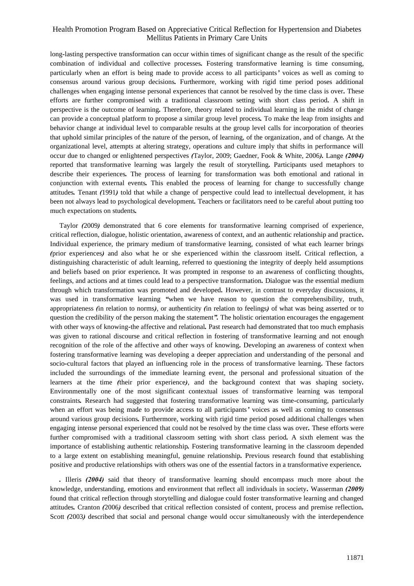long*-*lasting perspective transformation can occur within times of significant change as the result of the specific combination of individual and collective processes*.* Fostering transformative learning is time consuming, particularly when an effort is being made to provide access to all participants*'* voices as well as coming to consensus around various group decisions*.* Furthermore, working with rigid time period poses additional challenges when engaging intense personal experiences that cannot be resolved by the time class is over*.* These efforts are further compromised with a traditional classroom setting with short class period*.* A shift in perspective is the outcome of learning*.* Therefore, theory related to individual learning in the midst of change can provide a conceptual platform to propose a similar group level process*.* To make the leap from insights and behavior change at individual level to comparable results at the group level calls for incorporation of theories that uphold similar principles of the nature of the person, of learning, of the organization, and of change*.* At the organizational level, attempts at altering strategy, operations and culture imply that shifts in performance will occur due to changed or enlightened perspectives *(*Taylor, 2009; Gaedner, Fook & White, 2006*).* Lange *(2004)* reported that transformative learning was largely the result of storytelling*.* Participants used metaphors to describe their experiences*.* The process of learning for transformation was both emotional and rational in conjunction with external events*.* This enabled the process of learning for change to successfully change attitudes*.* Tenant *(*1991*)* told that while a change of perspective could lead to intellectual development, it has been not always lead to psychological development*.* Teachers or facilitators need to be careful about putting too much expectations on students*.* 

Taylor *(*2009*)* demonstrated that 6 core elements for transformative learning comprised of experience, critical reflection, dialogue, holistic orientation, awareness of context, and an authentic relationship and practice*.*  Individual experience, the primary medium of transformative learning, consisted of what each learner brings *(*prior experiences*)* and also what he or she experienced within the classroom itself*.* Critical reflection, a distinguishing characteristic of adult learning, referred to questioning the integrity of deeply held assumptions and beliefs based on prior experience*.* It was prompted in response to an awareness of conflicting thoughts, feelings, and actions and at times could lead to a perspective transformation*.* Dialogue was the essential medium through which transformation was promoted and developed*.* However, in contrast to everyday discussions, it was used in transformative learning *"*when we have reason to question the comprehensibility, truth, appropriateness *(*in relation to norms*)*, or authenticity *(*in relation to feelings*)* of what was being asserted or to question the credibility of the person making the statement*".* The holistic orientation encourages the engagement with other ways of knowing-the affective and relational. Past research had demonstrated that too much emphasis was given to rational discourse and critical reflection in fostering of transformative learning and not enough recognition of the role of the affective and other ways of knowing*.* Developing an awareness of context when fostering transformative learning was developing a deeper appreciation and understanding of the personal and socio*-*cultural factors that played an influencing role in the process of transformative learning*.* These factors included the surroundings of the immediate learning event, the personal and professional situation of the learners at the time *(*their prior experience*)*, and the background context that was shaping society*.*  Environmentally one of the most significant contextual issues of transformative learning was temporal constraints*.* Research had suggested that fostering transformative learning was time*-*consuming, particularly when an effort was being made to provide access to all participants*'* voices as well as coming to consensus around various group decisions*.* Furthermore, working with rigid time period posed additional challenges when engaging intense personal experienced that could not be resolved by the time class was over*.* These efforts were further compromised with a traditional classroom setting with short class period*.* A sixth element was the importance of establishing authentic relationship*.* Fostering transformative learning in the classroom depended to a large extent on establishing meaningful, genuine relationship*.* Previous research found that establishing positive and productive relationships with others was one of the essential factors in a transformative experience*.*

*.* Illeris *(2004)* said that theory of transformative learning should encompass much more about the knowledge, understanding, emotions and environment that reflect all individuals in society*.* Wasserman *(2009)*  found that critical reflection through storytelling and dialogue could foster transformative learning and changed attitudes*.* Cranton *(*2006*)* described that critical reflection consisted of content, process and premise reflection*.*  Scott *(*2003*)* described that social and personal change would occur simultaneously with the interdependence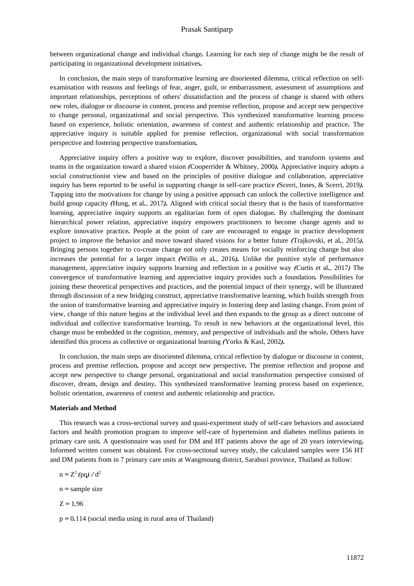between organizational change and individual change*.* Learning for each step of change might be the result of participating in organizational development initiatives*.*

In conclusion, the main steps of transformative learning are disoriented dilemma, critical reflection on selfexamination with reasons and feelings of fear, anger, guilt, or embarrassment, assessment of assumptions and important relationships, perceptions of others' dissatisfaction and the process of change is shared with others new roles, dialogue or discourse in content, process and premise reflection, propose and accept new perspective to change personal, organizational and social perspective*.* This synthesized transformative learning process based on experience, holistic orientation, awareness of context and authentic relationship and practice*.* The appreciative inquiry is suitable applied for premise reflection, organizational with social transformation perspective and fostering perspective transformation*.* 

Appreciative inquiry offers a positive way to explore, discover possibilities, and transform systems and teams in the organization toward a shared vision *(*Cooperrider & Whitney, 2000*).* Appreciative inquiry adopts a social constructionist view and based on the principles of positive dialogue and collaboration, appreciative inquiry has been reported to be useful in supporting change in self*-*care practice *(*Scerri, Innes, & Scerri, 2019*).*  Tapping into the motivations for change by using a positive approach can unlock the collective intelligence and build group capacity *(*Hung, et al*.*, 2017*).* Aligned with critical social theory that is the basis of transformative learning, appreciative inquiry supports an egalitarian form of open dialogue*.* By challenging the dominant hierarchical power relation, appreciative inquiry empowers practitioners to become change agents and to explore innovative practice*.* People at the point of care are encouraged to engage in practice development project to improve the behavior and move toward shared visions for a better future *(*Trajkovski, et al*.*, 2015*).*  Bringing persons together to co*-*create change not only creates means for socially reinforcing change but also increases the potential for a larger impact *(*Willis et al*.*, 2016*).* Unlike the punitive style of performance management, appreciative inquiry supports learning and reflection in a positive way *(*Curtis et al*.*, 2017*)* The convergence of transformative learning and appreciative inquiry provides such a foundation*.* Possibilities for joining these theoretical perspectives and practices, and the potential impact of their synergy, will be illustrated through discussion of a new bridging construct, appreciative transformative learning, which builds strength from the union of transformative learning and appreciative inquiry in fostering deep and lasting change*.* From point of view, change of this nature begins at the individual level and then expands to the group as a direct outcome of individual and collective transformative learning*.* To result in new behaviors at the organizational level, this change must be embedded in the cognition, memory, and perspective of individuals and the whole*.* Others have identified this process as collective or organizational learning *(*Yorks & Kasl, 2002*).* 

In conclusion, the main steps are disoriented dilemma, critical reflection by dialogue or discourse in content, process and premise reflection*.* propose and accept new perspective*.* The premise reflection and propose and accept new perspective to change personal, organizational and social transformation perspective consisted of discover, dream, design and destiny*.* This synthesized transformative learning process based on experience, holistic orientation, awareness of context and authentic relationship and practice*.*

## **Materials and Method**

This research was a cross*-*sectional survey and quasi*-*experiment study of self*-*care behaviors and associated factors and health promotion program to improve self*-*care of hypertension and diabetes mellitus patients in primary care unit*.* A questionnaire was used for DM and HT patients above the age of 20 years interviewing*.*  Informed written consent was obtained*.* For cross*-*sectional survey study, the calculated samples were 156 HT and DM patients from in 7 primary care units at Wangmoung district, Saraburi province, Thailand as follow:

 $n = Z^2 (pq) / d^2$ 

n *=* sample size

 $Z = 1.96$ 

p *=* 0*.*114 (social media using in rural area of Thailand)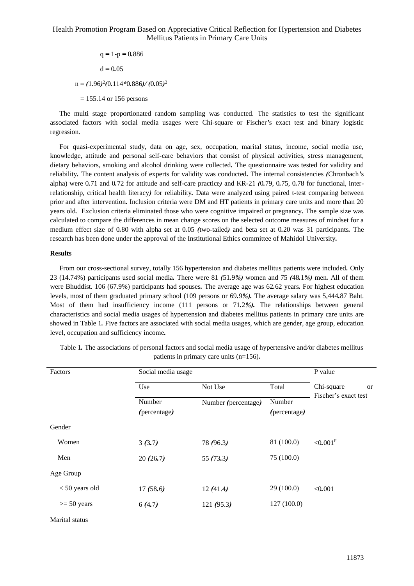$q = 1-p = 0.886$  $d = 0.05$ n *= (*1*.*96*)* 2 *(*0*.*114*\**0*.*886*)/ (*0*.*05*)* 2

= 155.14 or 156 persons

The multi stage proportionated random sampling was conducted. The statistics to test the significant associated factors with social media usages were Chi-square or Fischer*'*s exact test and binary logistic regression.

For quasi*-*experimental study, data on age, sex, occupation, marital status, income, social media use, knowledge, attitude and personal self*-*care behaviors that consist of physical activities, stress management, dietary behaviors, smoking and alcohol drinking were collected*.* The questionnaire was tested for validity and reliability*.* The content analysis of experts for validity was conducted*.* The internal consistencies *(*Chronbach*'*s alpha) were 0*.*71 and 0*.*72 for attitude and self*-*care practice*)* and KR*-*21 *(*0*.*79, 0*.*75, 0*.*78 for functional, interrelationship, critical health literacy*)* for reliability*.* Data were analyzed using paired t*-*test comparing between prior and after intervention*.* Inclusion criteria were DM and HT patients in primary care units and more than 20 years old*.* Exclusion criteria eliminated those who were cognitive impaired or pregnancy*.* The sample size was calculated to compare the differences in mean change scores on the selected outcome measures of mindset for a medium effect size of 0*.*80 with alpha set at 0*.*05 *(*two*-*tailed*)* and beta set at 0*.*20 was 31 participants*.* The research has been done under the approval of the Institutional Ethics committee of Mahidol University*.*

## **Results**

From our cross*-*sectional survey, totally 156 hypertension and diabetes mellitus patients were included*.* Only 23 (14.74%) participants used social media*.* There were 81 *(*51*.*9*%)* women and 75 *(*48*.*1*%)* men*.* All of them were Bhuddist. 106 (67.9%) participants had spouses*.* The average age was 62*.*62 years*.* For highest education levels, most of them graduated primary school (109 persons or 69*.*9*%).* The average salary was 5,444*.*87 Baht. Most of them had insufficiency income (111 persons or 71*.*2*%).* The relationships between general characteristics and social media usages of hypertension and diabetes mellitus patients in primary care units are showed in Table 1*.* Five factors are associated with social media usages, which are gender, age group, education level, occupation and sufficiency income*.* 

| Factors          | Social media usage     | P value             |                        |                                                     |  |
|------------------|------------------------|---------------------|------------------------|-----------------------------------------------------|--|
|                  | Use                    | Not Use             | Total                  | Chi-square<br><sub>or</sub><br>Fischer's exact test |  |
|                  | Number<br>(percentage) | Number (percentage) | Number<br>(percentage) |                                                     |  |
| Gender           |                        |                     |                        |                                                     |  |
| Women            | 3(3.7)                 | 78 (96.3)           | 81 (100.0)             | ${<}0.001$ <sup>F</sup>                             |  |
| Men              | 20(26.7)               | 55 $(73.3)$         | 75 (100.0)             |                                                     |  |
| Age Group        |                        |                     |                        |                                                     |  |
| $< 50$ years old | 17(58.6)               | 12(41.4)            | 29 (100.0)             | < 0.001                                             |  |
| $>= 50$ years    | 6(4.7)                 | 121(95.3)           | 127(100.0)             |                                                     |  |
| Marital status   |                        |                     |                        |                                                     |  |

Table 1*.* The associations of personal factors and social media usage of hypertensive and*/*or diabetes mellitus patients in primary care units (n=156)*.*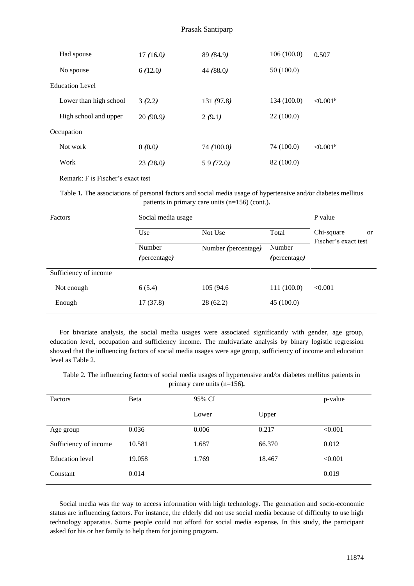# Prasak Santiparp

| Had spouse                                        | 17(16.0) | 89 (84.9)    | 106(100.0)  | 0.507                  |
|---------------------------------------------------|----------|--------------|-------------|------------------------|
| No spouse                                         | 6(12.0)  | 44 $(88.0)$  | 50(100.0)   |                        |
| <b>Education Level</b>                            |          |              |             |                        |
| Lower than high school                            | 3(2.2)   | 131 $(97.8)$ | 134 (100.0) | $< 0.001$ <sup>F</sup> |
| High school and upper                             | 20(90.9) | 2(9.1)       | 22(100.0)   |                        |
| Occupation                                        |          |              |             |                        |
| Not work                                          | 0(0.0)   | 74(100.0)    | 74 (100.0)  | $< 0.001$ <sup>F</sup> |
| Work                                              | 23(28.0) | 59(72.0)     | 82 (100.0)  |                        |
| $\mathbf{r}$ . The set of the set of $\mathbf{r}$ |          |              |             |                        |

Remark: F is Fischer's exact test

Table 1*.* The associations of personal factors and social media usage of hypertensive and*/*or diabetes mellitus patients in primary care units (n=156) (cont.)*.*

| <b>Factors</b>        | Social media usage                            | P value    |              |                                                     |
|-----------------------|-----------------------------------------------|------------|--------------|-----------------------------------------------------|
|                       | Use                                           | Not Use    | Total        | Chi-square<br><sub>or</sub><br>Fischer's exact test |
|                       | Number<br>Number (percentage)<br>(percentage) |            | Number       |                                                     |
|                       |                                               |            | (percentage) |                                                     |
| Sufficiency of income |                                               |            |              |                                                     |
| Not enough            | 6(5.4)                                        | 105 (94.6) | 111 (100.0)  | < 0.001                                             |
| Enough                | 17(37.8)                                      | 28(62.2)   | 45(100.0)    |                                                     |

For bivariate analysis, the social media usages were associated significantly with gender, age group, education level, occupation and sufficiency income*.* The multivariate analysis by binary logistic regression showed that the influencing factors of social media usages were age group, sufficiency of income and education level as Table 2.

Table 2*.* The influencing factors of social media usages of hypertensive and*/*or diabetes mellitus patients in primary care units (n=156)*.*

| Factors                | Beta   | 95% CI | p-value |         |
|------------------------|--------|--------|---------|---------|
|                        |        | Lower  | Upper   |         |
| Age group              | 0.036  | 0.006  | 0.217   | < 0.001 |
| Sufficiency of income  | 10.581 | 1.687  | 66.370  | 0.012   |
| <b>Education</b> level | 19.058 | 1.769  | 18.467  | < 0.001 |
| Constant               | 0.014  |        |         | 0.019   |

Social media was the way to access information with high technology. The generation and socio-economic status are influencing factors. For instance, the elderly did not use social media because of difficulty to use high technology apparatus. Some people could not afford for social media expense*.* In this study, the participant asked for his or her family to help them for joining program*.*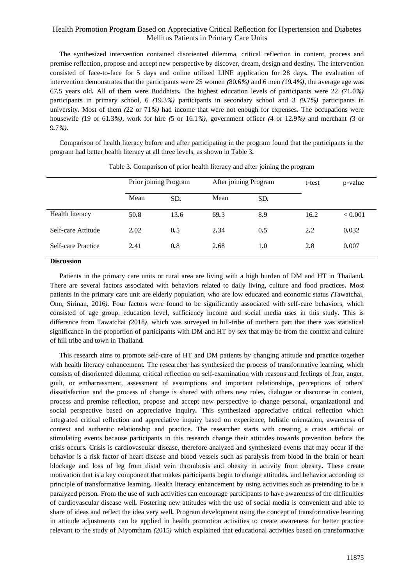The synthesized intervention contained disoriented dilemma, critical reflection in content, process and premise reflection, propose and accept new perspective by discover, dream, design and destiny*.* The intervention consisted of face*-*to*-*face for 5 days and online utilized LINE application for 28 days*.* The evaluation of intervention demonstrates that the participants were 25 women *(*80*.*6*%)* and 6 men *(*19*.*4*%)*, the average age was 67*.*5 years old*.* All of them were Buddhists*.* The highest education levels of participants were 22 *(*71*.*0*%)*  participants in primary school, 6 *(*19*.*3*%)* participants in secondary school and 3 *(*9*.*7*%)* participants in university*.* Most of them *(*22 or 71*%)* had income that were not enough for expenses*.* The occupations were housewife *(*19 or 61*.*3*%)*, work for hire *(*5 or 16*.*1*%)*, government officer *(*4 or 12*.*9*%)* and merchant *(*3 or 9*.*7*%).*

Comparison of health literacy before and after participating in the program found that the participants in the program had better health literacy at all three levels, as shown in Table 3*.*

|                    | Prior joining Program |      | After joining Program |     | t-test | p-value |
|--------------------|-----------------------|------|-----------------------|-----|--------|---------|
|                    | Mean                  | SD.  | Mean                  | SD. |        |         |
| Health literacy    | 50.8                  | 13.6 | 69.3                  | 8.9 | 16.2   | < 0.001 |
| Self-care Attitude | 2.02                  | 0.5  | 2.34                  | 0.5 | 2.2    | 0.032   |
| Self-care Practice | 2.41                  | 0.8  | 2.68                  | 1.0 | 2.8    | 0.007   |

Table 3*.* Comparison of prior health literacy and after joining the program

## **Discussion**

Patients in the primary care units or rural area are living with a high burden of DM and HT in Thailand*.*  There are several factors associated with behaviors related to daily living, culture and food practices*.* Most patients in the primary care unit are elderly population, who are low educated and economic status *(*Tawatchai, Onn, Sirinan, 2016*).* Four factors were found to be significantly associated with self*-*care behaviors, which consisted of age group, education level, sufficiency income and social media uses in this study*.* This is difference from Tawatchai *(*2018*)*, which was surveyed in hill*-*tribe of northern part that there was statistical significance in the proportion of participants with DM and HT by sex that may be from the context and culture of hill tribe and town in Thailand*.* 

This research aims to promote self*-*care of HT and DM patients by changing attitude and practice together with health literacy enhancement*.* The researcher has synthesized the process of transformative learning, which consists of disoriented dilemma, critical reflection on self*-*examination with reasons and feelings of fear, anger, guilt, or embarrassment, assessment of assumptions and important relationships, perceptions of others' dissatisfaction and the process of change is shared with others new roles, dialogue or discourse in content, process and premise reflection, propose and accept new perspective to change personal, organizational and social perspective based on appreciative inquiry*.* This synthesized appreciative critical reflection which integrated critical reflection and appreciative inquiry based on experience, holistic orientation, awareness of context and authentic relationship and practice*.* The researcher starts with creating a crisis artificial or stimulating events because participants in this research change their attitudes towards prevention before the crisis occurs*.* Crisis is cardiovascular disease, therefore analyzed and synthesized events that may occur if the behavior is a risk factor of heart disease and blood vessels such as paralysis from blood in the brain or heart blockage and loss of leg from distal vein thrombosis and obesity in activity from obesity*.* These create motivation that is a key component that makes participants begin to change attitudes*.* and behavior according to principle of transformative learning*.* Health literacy enhancement by using activities such as pretending to be a paralyzed person*.* From the use of such activities can encourage participants to have awareness of the difficulties of cardiovascular disease well*.* Fostering new attitudes with the use of social media is convenient and able to share of ideas and reflect the idea very well*.* Program development using the concept of transformative learning in attitude adjustments can be applied in health promotion activities to create awareness for better practice relevant to the study of Niyomtham *(*2015*)* which explained that educational activities based on transformative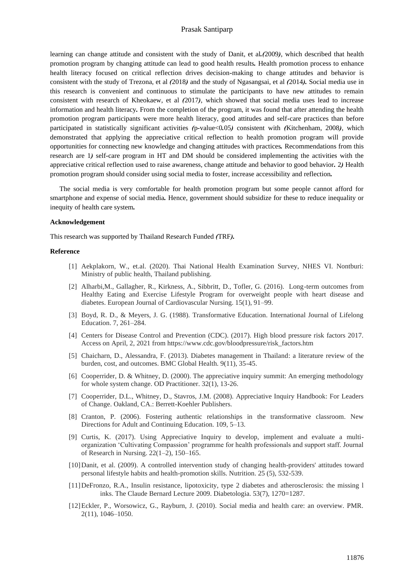## Prasak Santiparp

learning can change attitude and consistent with the study of Danit, et al*.(*2009*)*, which described that health promotion program by changing attitude can lead to good health results*.* Health promotion process to enhance health literacy focused on critical reflection drives decision*-*making to change attitudes and behavior is consistent with the study of Trezona, et al *(*2018*)* and the study of Ngasangsai, et al *(*2014*).* Social media use in this research is convenient and continuous to stimulate the participants to have new attitudes to remain consistent with research of Kheokaew, et al *(*2017*)*, which showed that social media uses lead to increase information and health literacy*.* From the completion of the program, it was found that after attending the health promotion program participants were more health literacy, good attitudes and self*-*care practices than before participated in statistically significant activities *(*p*-*value<0*.*05*)* consistent with *(*Kitchenham, 2008*)*, which demonstrated that applying the appreciative critical reflection to health promotion program will provide opportunities for connecting new knowledge and changing attitudes with practices*.* Recommendations from this research are 1*)* self*-*care program in HT and DM should be considered implementing the activities with the appreciative critical reflection used to raise awareness, change attitude and behavior to good behavior*.* 2*)* Health promotion program should consider using social media to foster, increase accessibility and reflection*.*

The social media is very comfortable for health promotion program but some people cannot afford for smartphone and expense of social media*.* Hence, government should subsidize for these to reduce inequality or inequity of health care system*.* 

#### **Acknowledgement**

This research was supported by Thailand Research Funded *(*TRF*).*

#### **Reference**

- [1] Aekplakorn, W., et.al. (2020). Thai National Health Examination Survey, NHES VI. Nontburi: Ministry of public health, Thailand publishing.
- [2] Alharbi,M., Gallagher, R., Kirkness, A., Sibbritt, D., Tofler, G. (2016). Long-term outcomes from Healthy Eating and Exercise Lifestyle Program for overweight people with heart disease and diabetes. European Journal of Cardiovascular Nursing. 15(1), 91–99.
- [3] Boyd, R. D., & Meyers, J. G. (1988). Transformative Education. International Journal of Lifelong Education. 7, 261–284.
- [4] Centers for Disease Control and Prevention (CDC). (2017). High blood pressure risk factors 2017. Access on April, 2, 2021 from https://www.cdc.gov/bloodpressure/risk\_factors.htm
- [5] Chaicharn, D., Alessandra, F. (2013). Diabetes management in Thailand: a literature review of the burden, cost, and outcomes. BMC Global Health. 9(11), 35-45.
- [6] Cooperrider, D. & Whitney, D. (2000). The appreciative inquiry summit: An emerging methodology for whole system change. OD Practitioner. 32(1), 13-26.
- [7] Cooperrider, D.L., Whitney, D., Stavros, J.M. (2008). Appreciative Inquiry Handbook: For Leaders of Change. Oakland, CA.: Berrett-Koehler Publishers.
- [8] Cranton, P. (2006). Fostering authentic relationships in the transformative classroom. New Directions for Adult and Continuing Education. 109, 5–13.
- [9] Curtis, K. (2017). Using Appreciative Inquiry to develop, implement and evaluate a multiorganization 'Cultivating Compassion' programme for health professionals and support staff. Journal of Research in Nursing. 22(1–2), 150–165.
- [10]Danit, et al. (2009). A controlled intervention study of changing health-providers' attitudes toward personal lifestyle habits and health-promotion skills. Nutrition. 25 (5), 532-539.
- [11]DeFronzo, R.A., Insulin resistance, lipotoxicity, type 2 diabetes and atherosclerosis: the missing l inks. The Claude Bernard Lecture 2009. Diabetologia. 53(7), 1270=1287.
- [12]Eckler, P., Worsowicz, G., Rayburn, J. (2010). Social media and health care: an overview. PMR. 2(11), 1046–1050.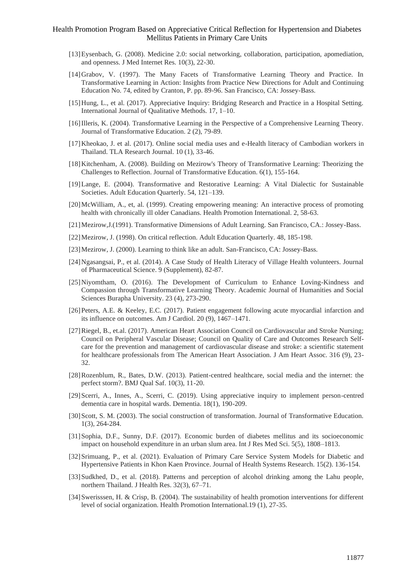- [13]Eysenbach, G. (2008). Medicine 2.0: social networking, collaboration, participation, apomediation, and openness. J Med Internet Res. 10(3), 22-30.
- [14]Grabov, V. (1997). The Many Facets of Transformative Learning Theory and Practice. In Transformative Learning in Action: Insights from Practice New Directions for Adult and Continuing Education No. 74, edited by Cranton, P. pp. 89-96. San Francisco, CA: Jossey-Bass.
- [15]Hung, L., et al. (2017). Appreciative Inquiry: Bridging Research and Practice in a Hospital Setting. International Journal of Qualitative Methods. 17, 1–10.
- [16]Illeris, K. (2004). Transformative Learning in the Perspective of a Comprehensive Learning Theory. Journal of Transformative Education. 2 (2), 79-89.
- [17]Kheokao, J. et al. (2017). Online social media uses and e-Health literacy of Cambodian workers in Thailand. TLA Research Journal. 10 (1), 33-46.
- [18]Kitchenham, A. (2008). Building on Mezirow's Theory of Transformative Learning: Theorizing the Challenges to Reflection. Journal of Transformative Education. 6(1), 155-164.
- [19]Lange, E. (2004). Transformative and Restorative Learning: A Vital Dialectic for Sustainable Societies. Adult Education Quarterly. 54, 121–139.
- [20] McWilliam, A., et, al. (1999). Creating empowering meaning: An interactive process of promoting health with chronically ill older Canadians. Health Promotion International. 2, 58-63.
- [21]Mezirow,J.(1991). Transformative Dimensions of Adult Learning. San Francisco, CA.: Jossey-Bass.
- [22]Mezirow, J. (1998). On critical reflection. Adult Education Quarterly. 48, 185-198.
- [23]Mezirow, J. (2000). Learning to think like an adult. San-Francisco, CA: Jossey-Bass.
- [24]Ngasangsai, P., et al. (2014). A Case Study of Health Literacy of Village Health volunteers. Journal of Pharmaceutical Science. 9 (Supplement), 82-87.
- [25] Niyomtham, O. (2016). The Development of Curriculum to Enhance Loving-Kindness and Compassion through Transformative Learning Theory. Academic Journal of Humanities and Social Sciences Burapha University. 23 (4), 273-290.
- [26]Peters, A.E. & Keeley, E.C. (2017). Patient engagement following acute myocardial infarction and its influence on outcomes. Am J Cardiol. 20 (9), 1467–1471.
- [27]Riegel, B., et.al. (2017). American Heart Association Council on Cardiovascular and Stroke Nursing; Council on Peripheral Vascular Disease; Council on Quality of Care and Outcomes Research Selfcare for the prevention and management of cardiovascular disease and stroke: a scientific statement for healthcare professionals from The American Heart Association. J Am Heart Assoc. 316 (9), 23- 32.
- [28]Rozenblum, R., Bates, D.W. (2013). Patient-centred healthcare, social media and the internet: the perfect storm?. BMJ Qual Saf. 10(3), 11-20.
- [29]Scerri, A., Innes, A., Scerri, C. (2019). Using appreciative inquiry to implement person-centred dementia care in hospital wards. Dementia. 18(1), 190-209.
- [30] Scott, S. M. (2003). The social construction of transformation. Journal of Transformative Education. 1(3), 264-284.
- [31]Sophia, D.F., Sunny, D.F. (2017). Economic burden of diabetes mellitus and its socioeconomic impact on household expenditure in an urban slum area. Int J Res Med Sci. 5(5), 1808–1813.
- [32]Srimuang, P., et al. (2021). Evaluation of Primary Care Service System Models for Diabetic and Hypertensive Patients in Khon Kaen Province. Journal of Health Systems Research. 15(2). 136-154.
- [33] Sudkhed, D., et al. (2018). Patterns and perception of alcohol drinking among the Lahu people, northern Thailand. J Health Res. 32(3), 67–71.
- [34]Swerisssen, H. & Crisp, B. (2004). The sustainability of health promotion interventions for different level of social organization. Health Promotion International.19 (1), 27-35.